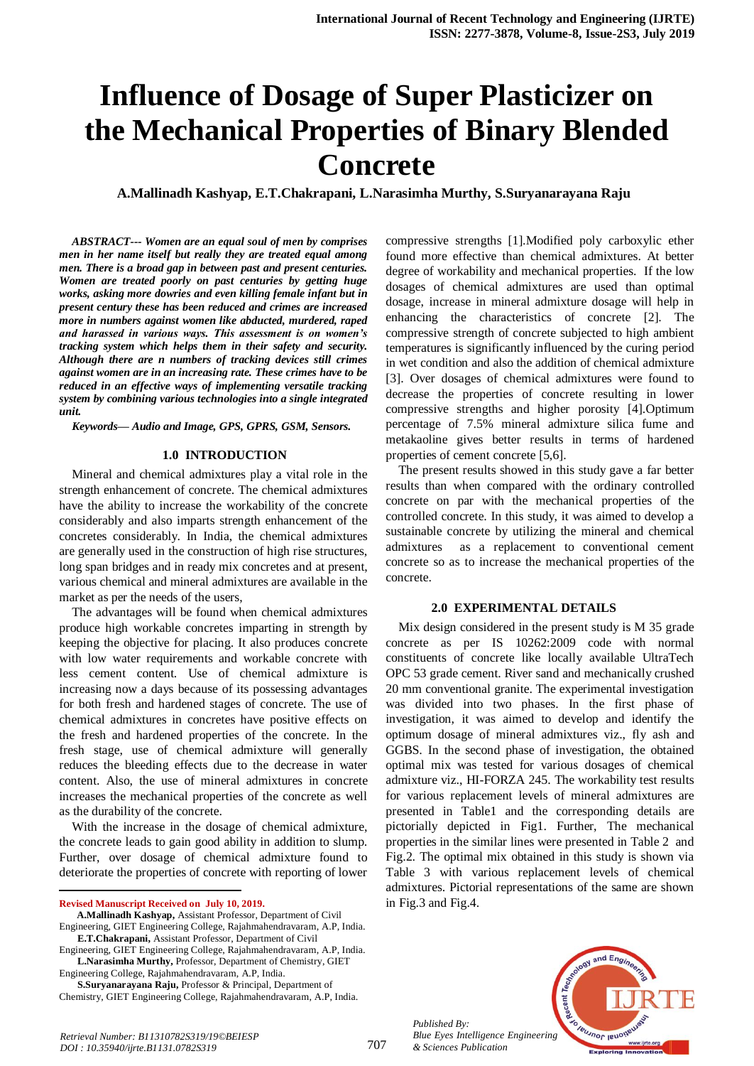# **Influence of Dosage of Super Plasticizer on the Mechanical Properties of Binary Blended Concrete**

**A.Mallinadh Kashyap, E.T.Chakrapani, L.Narasimha Murthy, S.Suryanarayana Raju**

*ABSTRACT--- Women are an equal soul of men by comprises men in her name itself but really they are treated equal among men. There is a broad gap in between past and present centuries. Women are treated poorly on past centuries by getting huge works, asking more dowries and even killing female infant but in present century these has been reduced and crimes are increased more in numbers against women like abducted, murdered, raped and harassed in various ways. This assessment is on women's tracking system which helps them in their safety and security. Although there are n numbers of tracking devices still crimes against women are in an increasing rate. These crimes have to be reduced in an effective ways of implementing versatile tracking system by combining various technologies into a single integrated unit.* 

*Keywords— Audio and Image, GPS, GPRS, GSM, Sensors.*

#### **1.0 INTRODUCTION**

Mineral and chemical admixtures play a vital role in the strength enhancement of concrete. The chemical admixtures have the ability to increase the workability of the concrete considerably and also imparts strength enhancement of the concretes considerably. In India, the chemical admixtures are generally used in the construction of high rise structures, long span bridges and in ready mix concretes and at present, various chemical and mineral admixtures are available in the market as per the needs of the users,

The advantages will be found when chemical admixtures produce high workable concretes imparting in strength by keeping the objective for placing. It also produces concrete with low water requirements and workable concrete with less cement content. Use of chemical admixture is increasing now a days because of its possessing advantages for both fresh and hardened stages of concrete. The use of chemical admixtures in concretes have positive effects on the fresh and hardened properties of the concrete. In the fresh stage, use of chemical admixture will generally reduces the bleeding effects due to the decrease in water content. Also, the use of mineral admixtures in concrete increases the mechanical properties of the concrete as well as the durability of the concrete.

With the increase in the dosage of chemical admixture, the concrete leads to gain good ability in addition to slump. Further, over dosage of chemical admixture found to deteriorate the properties of concrete with reporting of lower

**Revised Manuscript Received on July 10, 2019.**

1

compressive strengths [1].Modified poly carboxylic ether found more effective than chemical admixtures. At better degree of workability and mechanical properties. If the low dosages of chemical admixtures are used than optimal dosage, increase in mineral admixture dosage will help in enhancing the characteristics of concrete [2]. The compressive strength of concrete subjected to high ambient temperatures is significantly influenced by the curing period in wet condition and also the addition of chemical admixture [3]. Over dosages of chemical admixtures were found to decrease the properties of concrete resulting in lower compressive strengths and higher porosity [4].Optimum percentage of 7.5% mineral admixture silica fume and metakaoline gives better results in terms of hardened properties of cement concrete [5,6].

The present results showed in this study gave a far better results than when compared with the ordinary controlled concrete on par with the mechanical properties of the controlled concrete. In this study, it was aimed to develop a sustainable concrete by utilizing the mineral and chemical admixtures as a replacement to conventional cement concrete so as to increase the mechanical properties of the concrete.

#### **2.0 EXPERIMENTAL DETAILS**

Mix design considered in the present study is M 35 grade concrete as per IS 10262:2009 code with normal constituents of concrete like locally available UltraTech OPC 53 grade cement. River sand and mechanically crushed 20 mm conventional granite. The experimental investigation was divided into two phases. In the first phase of investigation, it was aimed to develop and identify the optimum dosage of mineral admixtures viz., fly ash and GGBS. In the second phase of investigation, the obtained optimal mix was tested for various dosages of chemical admixture viz., HI-FORZA 245. The workability test results for various replacement levels of mineral admixtures are presented in Table1 and the corresponding details are pictorially depicted in Fig1. Further, The mechanical properties in the similar lines were presented in Table 2 and Fig.2. The optimal mix obtained in this study is shown via Table 3 with various replacement levels of chemical admixtures. Pictorial representations of the same are shown in Fig.3 and Fig.4.





**A.Mallinadh Kashyap,** Assistant Professor, Department of Civil Engineering, GIET Engineering College, Rajahmahendravaram, A.P, India.

**E.T.Chakrapani,** Assistant Professor, Department of Civil Engineering, GIET Engineering College, Rajahmahendravaram, A.P, India.

**L.Narasimha Murthy,** Professor, Department of Chemistry, GIET Engineering College, Rajahmahendravaram, A.P, India.

**S.Suryanarayana Raju,** Professor & Principal, Department of Chemistry, GIET Engineering College, Rajahmahendravaram, A.P, India.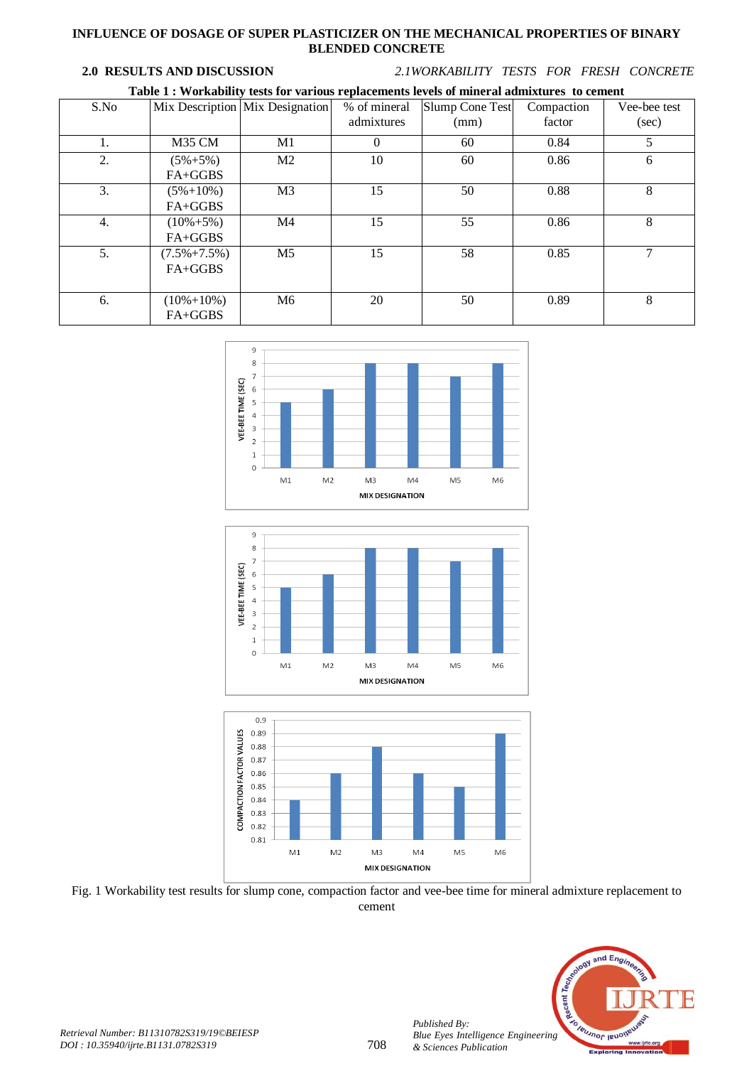#### **INFLUENCE OF DOSAGE OF SUPER PLASTICIZER ON THE MECHANICAL PROPERTIES OF BINARY BLENDED CONCRETE**

**2.0 RESULTS AND DISCUSSION** *2.1WORKABILITY TESTS FOR FRESH CONCRETE*

| Table 1 : Workability tests for various replacements levels of mineral admixtures to cement |
|---------------------------------------------------------------------------------------------|
|---------------------------------------------------------------------------------------------|

| S.No |                              | Mix Description Mix Designation | % of mineral<br>admixtures | Slump Cone Test<br>(mm) | Compaction<br>factor | Vee-bee test<br>(sec) |
|------|------------------------------|---------------------------------|----------------------------|-------------------------|----------------------|-----------------------|
| 1.   | M35 CM                       | M1                              | 0                          | 60                      | 0.84                 | 5                     |
| 2.   | $(5\% + 5\%)$<br>$FA+GGBS$   | M <sub>2</sub>                  | 10                         | 60                      | 0.86                 | 6                     |
| 3.   | $(5\% + 10\%)$<br>$FA+GGBS$  | M <sub>3</sub>                  | 15                         | 50                      | 0.88                 | 8                     |
| 4.   | $(10\% + 5\%)$<br>FA+GGBS    | M4                              | 15                         | 55                      | 0.86                 | 8                     |
| 5.   | $(7.5\% + 7.5\%)$<br>FA+GGBS | M <sub>5</sub>                  | 15                         | 58                      | 0.85                 | 7                     |
| 6.   | $(10\% + 10\%)$<br>$FA+GGBS$ | M6                              | 20                         | 50                      | 0.89                 | 8                     |







Fig. 1 Workability test results for slump cone, compaction factor and vee-bee time for mineral admixture replacement to cement



*Published By:*

*& Sciences Publication*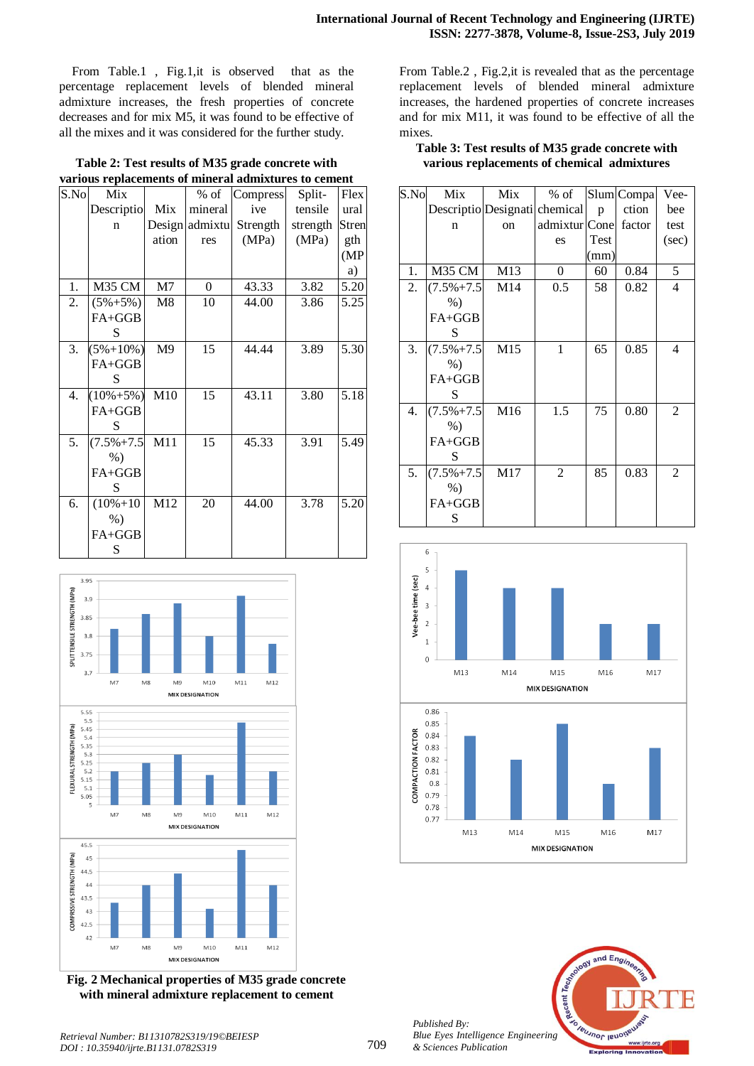From Table.1 , Fig.1,it is observed that as the percentage replacement levels of blended mineral admixture increases, the fresh properties of concrete decreases and for mix M5, it was found to be effective of all the mixes and it was considered for the further study.

| Table 2: Test results of M35 grade concrete with     |  |
|------------------------------------------------------|--|
| various replacements of mineral admixtures to cement |  |

| S.No | Mix             |                | $%$ of   | Compress | Split-   | Flex         |
|------|-----------------|----------------|----------|----------|----------|--------------|
|      | Descriptio      | Mix            | mineral  | ive      | tensile  | ural         |
|      | n               | Design         | admixtu  | Strength | strength | <b>Stren</b> |
|      |                 | ation          | res      | (MPa)    | (MPa)    | gth          |
|      |                 |                |          |          |          | (MP)         |
|      |                 |                |          |          |          | a)           |
| 1.   | M35 CM          | M <sub>7</sub> | $\theta$ | 43.33    | 3.82     | 5.20         |
| 2.   | $(5\% + 5\%)$   | M8             | 10       | 44.00    | 3.86     | 5.25         |
|      | $FA+GGB$        |                |          |          |          |              |
|      | S               |                |          |          |          |              |
| 3.   | $(5\% + 10\%)$  | M <sub>9</sub> | 15       | 44.44    | 3.89     | 5.30         |
|      | FA+GGB          |                |          |          |          |              |
|      | S               |                |          |          |          |              |
| 4.   | $(10\% + 5\%)$  | M10            | 15       | 43.11    | 3.80     | 5.18         |
|      | FA+GGB          |                |          |          |          |              |
|      | S               |                |          |          |          |              |
| 5.   | $(7.5\% + 7.5)$ | M11            | 15       | 45.33    | 3.91     | 5.49         |
|      | $%$ )           |                |          |          |          |              |
|      | FA+GGB          |                |          |          |          |              |
|      | S               |                |          |          |          |              |
| 6.   | $(10\% + 10)$   | M12            | 20       | 44.00    | 3.78     | 5.20         |
|      | $%$ )           |                |          |          |          |              |
|      | FA+GGB          |                |          |          |          |              |
|      | S               |                |          |          |          |              |



**Fig. 2 Mechanical properties of M35 grade concrete with mineral admixture replacement to cement**

From Table.2 , Fig.2,it is revealed that as the percentage replacement levels of blended mineral admixture increases, the hardened properties of concrete increases and for mix M11, it was found to be effective of all the mixes.

## **Table 3: Test results of M35 grade concrete with various replacements of chemical admixtures**

| S.No | Mix                           | Mix           | $%$ of         |      | Slum Compa | Vee-           |
|------|-------------------------------|---------------|----------------|------|------------|----------------|
|      | Descriptio Designati chemical |               |                | p    | ction      | bee            |
|      | n                             | <sub>on</sub> | admixtur Cone  |      | factor     | test           |
|      |                               |               | es             | Test |            | (sec)          |
|      |                               |               |                | (mm) |            |                |
| 1.   | M35 CM                        | M13           | $\overline{0}$ | 60   | 0.84       | 5              |
| 2.   | $(7.5\% + 7.5)$               | M14           | 0.5            | 58   | 0.82       | $\overline{4}$ |
|      | $%$ )                         |               |                |      |            |                |
|      | FA+GGB                        |               |                |      |            |                |
|      | S                             |               |                |      |            |                |
| 3.   | $(7.5\% + 7.5)$               | M15           | 1              | 65   | 0.85       | $\overline{4}$ |
|      | $%$ )                         |               |                |      |            |                |
|      | FA+GGB                        |               |                |      |            |                |
|      | S                             |               |                |      |            |                |
| 4.   | $(7.5\% + 7.5)$               | M16           | 1.5            | 75   | 0.80       | 2              |
|      | $%$ )                         |               |                |      |            |                |
|      | $FA+GGB$                      |               |                |      |            |                |
|      | S                             |               |                |      |            |                |
| 5.   | $(7.5\% + 7.5)$               | M17           | $\overline{c}$ | 85   | 0.83       | 2              |
|      | $%$ )                         |               |                |      |            |                |
|      | $FA+GGB$                      |               |                |      |            |                |
|      | S                             |               |                |      |            |                |





*Published By: Blue Eyes Intelligence Engineering & Sciences Publication*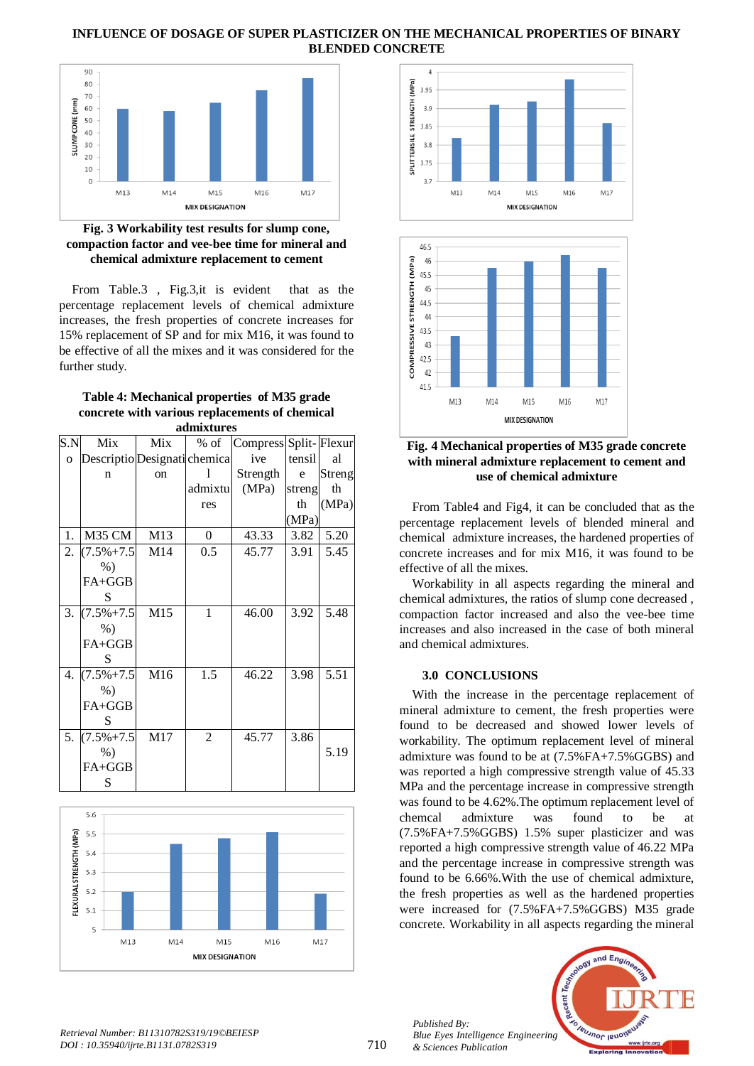#### **INFLUENCE OF DOSAGE OF SUPER PLASTICIZER ON THE MECHANICAL PROPERTIES OF BINARY BLENDED CONCRETE**



#### **Fig. 3 Workability test results for slump cone, compaction factor and vee-bee time for mineral and chemical admixture replacement to cement**

From Table.3 , Fig.3,it is evident that as the percentage replacement levels of chemical admixture increases, the fresh properties of concrete increases for 15% replacement of SP and for mix M16, it was found to be effective of all the mixes and it was considered for the further study.

#### **Table 4: Mechanical properties of M35 grade concrete with various replacements of chemical admixtures**

| S.N      | Mix                          | Mix           | $%$ of         | Compress Split-Flexur |        |        |
|----------|------------------------------|---------------|----------------|-----------------------|--------|--------|
| $\Omega$ | Descriptio Designati chemica |               |                | ive                   | tensil | al     |
|          | n                            | <sub>on</sub> | 1              | Strength              | e      | Streng |
|          |                              |               | admixtu        | (MPa)                 | streng | th     |
|          |                              |               | res            |                       | th     | (MPa)  |
|          |                              |               |                |                       | (MPa)  |        |
| 1.       | M35 CM                       | M13           | $\overline{0}$ | 43.33                 | 3.82   | 5.20   |
| 2.       | $(7.5\% + 7.5)$              | M14           | 0.5            | 45.77                 | 3.91   | 5.45   |
|          | $%$ )                        |               |                |                       |        |        |
|          | FA+GGB                       |               |                |                       |        |        |
|          | S                            |               |                |                       |        |        |
| 3.       | $(7.5\% + 7.5)$              | M15           | $\mathbf{1}$   | 46.00                 | 3.92   | 5.48   |
|          | $%$ )                        |               |                |                       |        |        |
|          | FA+GGB                       |               |                |                       |        |        |
|          | S                            |               |                |                       |        |        |
| 4.       | $(7.5\% + 7.5)$              | M16           | 1.5            | 46.22                 | 3.98   | 5.51   |
|          | $%$ )                        |               |                |                       |        |        |
|          | FA+GGB                       |               |                |                       |        |        |
|          | S                            |               |                |                       |        |        |
| 5.       | $(7.5\% + 7.5)$              | M17           | $\overline{2}$ | 45.77                 | 3.86   |        |
|          | $%$ )                        |               |                |                       |        | 5.19   |
|          | FA+GGB                       |               |                |                       |        |        |
|          | S                            |               |                |                       |        |        |







**Fig. 4 Mechanical properties of M35 grade concrete with mineral admixture replacement to cement and use of chemical admixture** 

From Table4 and Fig4, it can be concluded that as the percentage replacement levels of blended mineral and chemical admixture increases, the hardened properties of concrete increases and for mix M16, it was found to be effective of all the mixes.

Workability in all aspects regarding the mineral and chemical admixtures, the ratios of slump cone decreased , compaction factor increased and also the vee-bee time increases and also increased in the case of both mineral and chemical admixtures.

## **3.0 CONCLUSIONS**

With the increase in the percentage replacement of mineral admixture to cement, the fresh properties were found to be decreased and showed lower levels of workability. The optimum replacement level of mineral admixture was found to be at (7.5%FA+7.5%GGBS) and was reported a high compressive strength value of 45.33 MPa and the percentage increase in compressive strength was found to be 4.62%.The optimum replacement level of chemcal admixture was found to be at (7.5%FA+7.5%GGBS) 1.5% super plasticizer and was reported a high compressive strength value of 46.22 MPa and the percentage increase in compressive strength was found to be 6.66%.With the use of chemical admixture, the fresh properties as well as the hardened properties were increased for (7.5%FA+7.5%GGBS) M35 grade concrete. Workability in all aspects regarding the mineral

*Published By: Blue Eyes Intelligence Engineering & Sciences Publication* 



*Retrieval Number: B11310782S319/19©BEIESP DOI : 10.35940/ijrte.B1131.0782S319*